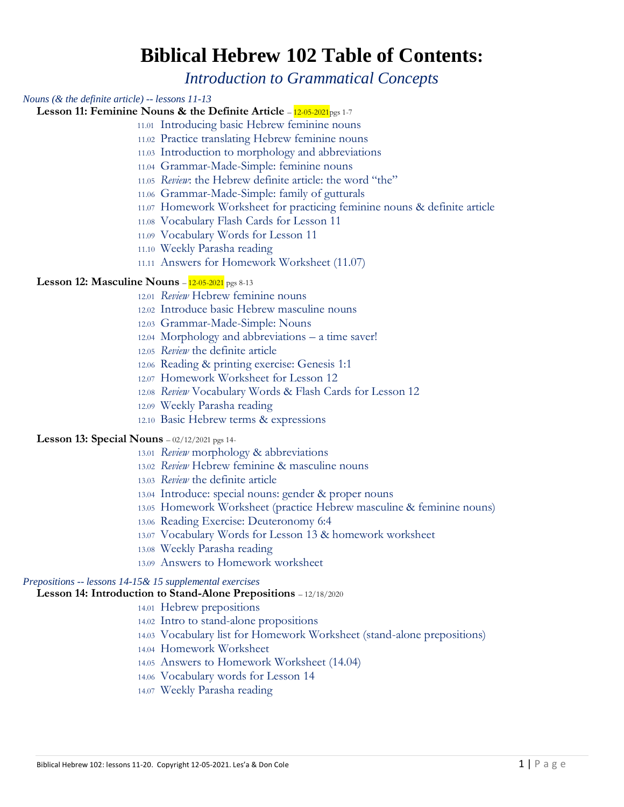# **Biblical Hebrew 102 Table of Contents:**

*Introduction to Grammatical Concepts*

#### *Nouns (& the definite article) -- lessons 11-13*

**Lesson 11: Feminine Nouns & the Definite Article** –  $12-05-2021$  pgs 1-7

- 11.01 Introducing basic Hebrew feminine nouns
	- 11.02 Practice translating Hebrew feminine nouns
	- 11.03 Introduction to morphology and abbreviations
- 11.04 Grammar-Made-Simple: feminine nouns
- 11.05 *Review*: the Hebrew definite article: the word "the"
- 11.06 Grammar-Made-Simple: family of gutturals
- 11.07 Homework Worksheet for practicing feminine nouns & definite article
- 11.08 Vocabulary Flash Cards for Lesson 11
- 11.09 Vocabulary Words for Lesson 11
- 11.10 Weekly Parasha reading
- 11.11 Answers for Homework Worksheet (11.07)

#### **Lesson 12: Masculine Nouns** –  $12-05-2021$  pgs 8-13

- 12.01 *Review* Hebrew feminine nouns
- 12.02 Introduce basic Hebrew masculine nouns
- 12.03 Grammar-Made-Simple: Nouns
- 12.04 Morphology and abbreviations a time saver!
- 12.05 *Review* the definite article
- 12.06 Reading & printing exercise: Genesis 1:1
- 12.07 Homework Worksheet for Lesson 12
- 12.08 *Review* Vocabulary Words & Flash Cards for Lesson 12
- 12.09 Weekly Parasha reading
- 12.10 Basic Hebrew terms & expressions

#### **Lesson 13: Special Nouns** – 02/12/2021 pgs 14-

- 13.01 *Review* morphology & abbreviations
- 13.02 *Review* Hebrew feminine & masculine nouns
- 13.03 *Review* the definite article
- 13.04 Introduce: special nouns: gender & proper nouns
- 13.05 Homework Worksheet (practice Hebrew masculine & feminine nouns)
- 13.06 Reading Exercise: Deuteronomy 6:4
- 13.07 Vocabulary Words for Lesson 13 & homework worksheet
- 13.08 Weekly Parasha reading
- 13.09 Answers to Homework worksheet

#### *Prepositions -- lessons 14-15& 15 supplemental exercises*

### **Lesson 14: Introduction to Stand-Alone Prepositions** – 12/18/2020

- 14.01 Hebrew prepositions
- 14.02 Intro to stand-alone propositions
- 14.03 Vocabulary list for Homework Worksheet (stand-alone prepositions)
- 14.04 Homework Worksheet
- 14.05 Answers to Homework Worksheet (14.04)
- 14.06 Vocabulary words for Lesson 14
- 14.07 Weekly Parasha reading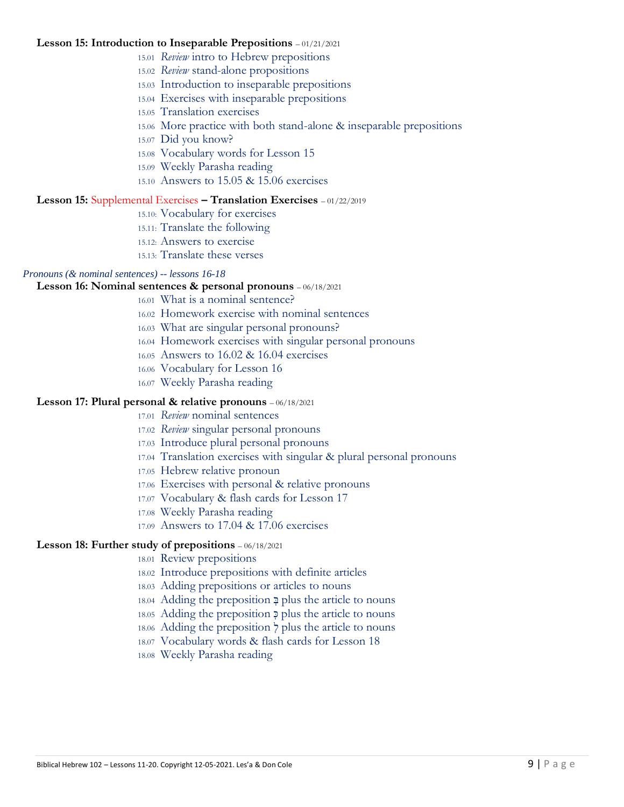#### **Lesson 15: Introduction to Inseparable Prepositions** – 01/21/2021

- 15.01 *Review* intro to Hebrew prepositions
- 15.02 *Review* stand-alone propositions
- 15.03 Introduction to inseparable prepositions
- 15.04 Exercises with inseparable prepositions
- 15.05 Translation exercises
- 15.06 More practice with both stand-alone & inseparable prepositions
- 15.07 Did you know?
- 15.08 Vocabulary words for Lesson 15
- 15.09 Weekly Parasha reading
- 15.10 Answers to 15.05 & 15.06 exercises

## **Lesson 15:** Supplemental Exercises **– Translation Exercises** – 01/22/2019

- 15.10: Vocabulary for exercises
- 15.11: Translate the following
- 15.12: Answers to exercise
- 15.13: Translate these verses

# *Pronouns (& nominal sentences) -- lessons 16-18*

### **Lesson 16: Nominal sentences & personal pronouns** – 06/18/2021

- 16.01 What is a nominal sentence?
- 16.02 Homework exercise with nominal sentences
- 16.03 What are singular personal pronouns?
- 16.04 Homework exercises with singular personal pronouns
- 16.05 Answers to 16.02 & 16.04 exercises
- 16.06 Vocabulary for Lesson 16
- 16.07 Weekly Parasha reading

# **Lesson 17: Plural personal & relative pronouns** – 06/18/2021

- 17.01 *Review* nominal sentences
- 17.02 *Review* singular personal pronouns
- 17.03 Introduce plural personal pronouns
- 17.04 Translation exercises with singular & plural personal pronouns
- 17.05 Hebrew relative pronoun
- 17.06 Exercises with personal & relative pronouns
- 17.07 Vocabulary & flash cards for Lesson 17
- 17.08 Weekly Parasha reading
- 17.09 Answers to 17.04 & 17.06 exercises

# **Lesson 18: Further study of prepositions** – 06/18/2021

- 18.01 Review prepositions
- 18.02 Introduce prepositions with definite articles
- 18.03 Adding prepositions or articles to nouns
- 18.04 Adding the preposition ְ בּ plus the article to nouns
- 18.05 Adding the preposition  $\frac{1}{2}$  plus the article to nouns
- 18.06 Adding the preposition  $\frac{1}{2}$  plus the article to nouns
- 18.07 Vocabulary words & flash cards for Lesson 18
- 18.08 Weekly Parasha reading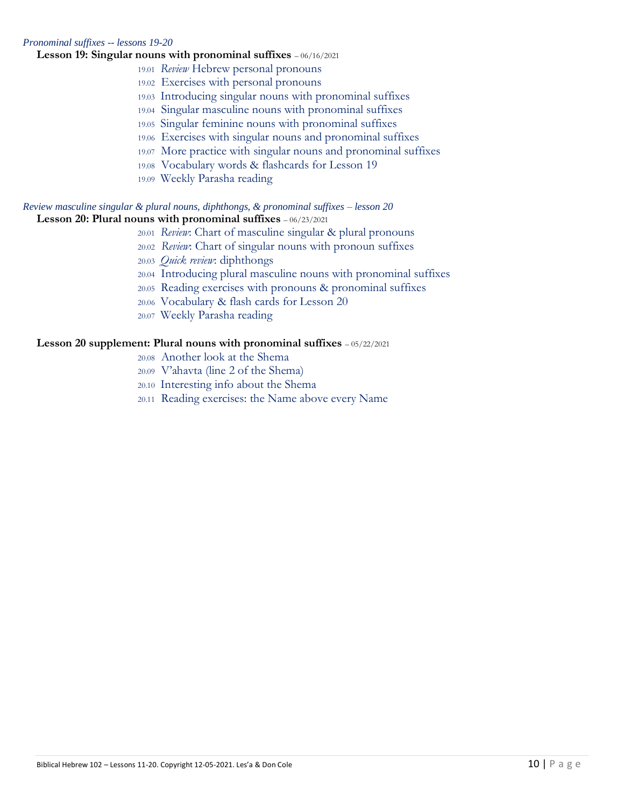#### *Pronominal suffixes -- lessons 19-20*

#### **Lesson 19: Singular nouns with pronominal suffixes** – 06/16/2021

- 19.01 *Review* Hebrew personal pronouns
- 19.02 Exercises with personal pronouns
- 19.03 Introducing singular nouns with pronominal suffixes
- 19.04 Singular masculine nouns with pronominal suffixes
- 19.05 Singular feminine nouns with pronominal suffixes
- 19.06 Exercises with singular nouns and pronominal suffixes
- 19.07 More practice with singular nouns and pronominal suffixes
- 19.08 Vocabulary words & flashcards for Lesson 19
- 19.09 Weekly Parasha reading

#### *Review masculine singular & plural nouns, diphthongs, & pronominal suffixes – lesson 20* **Lesson 20: Plural nouns with pronominal suffixes** – 06/23/2021

- 20.01 *Review*: Chart of masculine singular & plural pronouns
- 20.02 *Review*: Chart of singular nouns with pronoun suffixes
- 20.03 *Quick review*: diphthongs
- 20.04 Introducing plural masculine nouns with pronominal suffixes
- 20.05 Reading exercises with pronouns & pronominal suffixes
- 20.06 Vocabulary & flash cards for Lesson 20
- 20.07 Weekly Parasha reading

# **Lesson 20 supplement: Plural nouns with pronominal suffixes** – 05/22/2021

- 20.08 Another look at the Shema
- 20.09 V'ahavta (line 2 of the Shema)
- 20.10 Interesting info about the Shema
- 20.11 Reading exercises: the Name above every Name